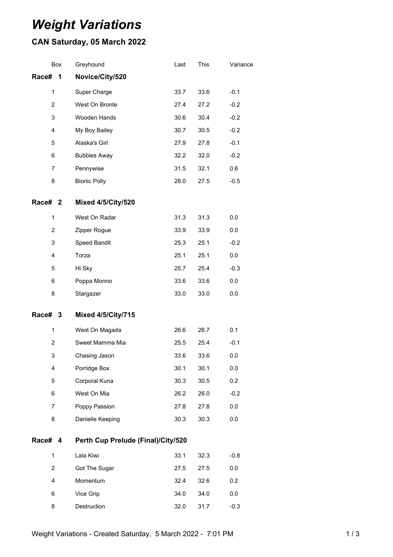# *Weight Variations*

# **CAN Saturday, 05 March 2022**

| Box            | Greyhound                          | Last | This | Variance |
|----------------|------------------------------------|------|------|----------|
| Race#<br>1     | Novice/City/520                    |      |      |          |
| 1              | Super Charge                       | 33.7 | 33.6 | $-0.1$   |
| $\overline{2}$ | West On Bronte                     | 27.4 | 27.2 | $-0.2$   |
| 3              | Wooden Hands                       | 30.6 | 30.4 | $-0.2$   |
| 4              | My Boy Bailey                      | 30.7 | 30.5 | $-0.2$   |
| 5              | Alaska's Girl                      | 27.9 | 27.8 | $-0.1$   |
| 6              | <b>Bubbles Away</b>                | 32.2 | 32.0 | $-0.2$   |
| $\overline{7}$ | Pennywise                          | 31.5 | 32.1 | 0.6      |
| 8              | <b>Bionic Polly</b>                | 28.0 | 27.5 | $-0.5$   |
| Race# 2        | <b>Mixed 4/5/City/520</b>          |      |      |          |
| $\mathbf 1$    | West On Radar                      | 31.3 | 31.3 | 0.0      |
| $\overline{2}$ | Zipper Rogue                       | 33.9 | 33.9 | 0.0      |
| 3              | Speed Bandit                       | 25.3 | 25.1 | $-0.2$   |
| 4              | Torza                              | 25.1 | 25.1 | 0.0      |
| 5              | Hi Sky                             | 25.7 | 25.4 | $-0.3$   |
| 6              | Poppa Monno                        | 33.6 | 33.6 | $0.0\,$  |
| 8              | Stargazer                          | 33.0 | 33.0 | 0.0      |
| Race# 3        | <b>Mixed 4/5/City/715</b>          |      |      |          |
| 1              | West On Magada                     | 26.6 | 26.7 | 0.1      |
| 2              | Sweet Mamma Mia                    | 25.5 | 25.4 | $-0.1$   |
| 3              | Chasing Jason                      | 33.6 | 33.6 | 0.0      |
| 4              | Porridge Box                       | 30.1 | 30.1 | 0.0      |
| 5              | Corporal Kuna                      | 30.3 | 30.5 | 0.2      |
| 6              | West On Mia                        | 26.2 | 26.0 | $-0.2$   |
| $\overline{7}$ | Poppy Passion                      | 27.8 | 27.8 | 0.0      |
| 8              | Danielle Keeping                   | 30.3 | 30.3 | 0.0      |
| Race#<br>4     | Perth Cup Prelude (Final)/City/520 |      |      |          |
| $\mathbf 1$    | Lala Kiwi                          | 33.1 | 32.3 | $-0.8$   |
| $\overline{2}$ | Got The Sugar                      | 27.5 | 27.5 | 0.0      |
| 4              | Momentum                           | 32.4 | 32.6 | 0.2      |
| 6              | Vice Grip                          | 34.0 | 34.0 | 0.0      |

Destruction 32.0 31.7 -0.3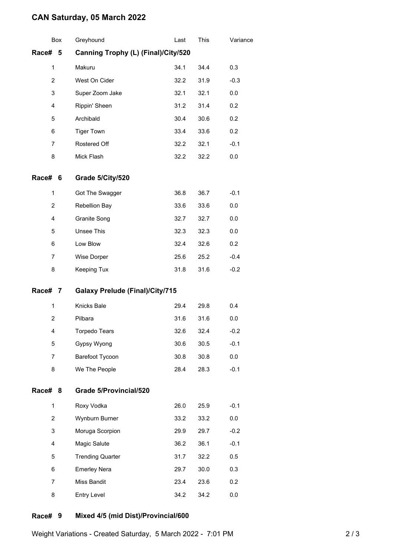## **CAN Saturday, 05 March 2022**

|                | Box | Greyhound                              | Last | This | Variance |
|----------------|-----|----------------------------------------|------|------|----------|
| Race# 5        |     | Canning Trophy (L) (Final)/City/520    |      |      |          |
| 1              |     | Makuru                                 | 34.1 | 34.4 | 0.3      |
| 2              |     | West On Cider                          | 32.2 | 31.9 | $-0.3$   |
| 3              |     | Super Zoom Jake                        | 32.1 | 32.1 | 0.0      |
| $\overline{4}$ |     | Rippin' Sheen                          | 31.2 | 31.4 | 0.2      |
| 5              |     | Archibald                              | 30.4 | 30.6 | 0.2      |
| 6              |     | <b>Tiger Town</b>                      | 33.4 | 33.6 | 0.2      |
| 7              |     | Rostered Off                           | 32.2 | 32.1 | $-0.1$   |
| 8              |     | Mick Flash                             | 32.2 | 32.2 | 0.0      |
| <b>Race#</b>   | 6   | Grade 5/City/520                       |      |      |          |
| 1              |     | Got The Swagger                        | 36.8 | 36.7 | $-0.1$   |
| $\overline{c}$ |     | Rebellion Bay                          | 33.6 | 33.6 | 0.0      |
| 4              |     | Granite Song                           | 32.7 | 32.7 | 0.0      |
| 5              |     | <b>Unsee This</b>                      | 32.3 | 32.3 | 0.0      |
| 6              |     | Low Blow                               | 32.4 | 32.6 | 0.2      |
| $\overline{7}$ |     | Wise Dorper                            | 25.6 | 25.2 | $-0.4$   |
| 8              |     | Keeping Tux                            | 31.8 | 31.6 | $-0.2$   |
| Race# 7        |     | <b>Galaxy Prelude (Final)/City/715</b> |      |      |          |
| 1              |     | Knicks Bale                            | 29.4 | 29.8 | 0.4      |
| $\overline{2}$ |     | Pilbara                                | 31.6 | 31.6 | 0.0      |
| 4              |     | <b>Torpedo Tears</b>                   | 32.6 | 32.4 | $-0.2$   |
| 5              |     | Gypsy Wyong                            | 30.6 | 30.5 | $-0.1$   |
| 7              |     | Barefoot Tycoon                        | 30.8 | 30.8 | 0.0      |
| 8              |     | We The People                          | 28.4 | 28.3 | $-0.1$   |
| Race#          | 8   | <b>Grade 5/Provincial/520</b>          |      |      |          |
| 1              |     | Roxy Vodka                             | 26.0 | 25.9 | $-0.1$   |
| $\overline{2}$ |     | Wynburn Burner                         | 33.2 | 33.2 | 0.0      |
| 3              |     | Moruga Scorpion                        | 29.9 | 29.7 | $-0.2$   |
| 4              |     | Magic Salute                           | 36.2 | 36.1 | $-0.1$   |
| 5              |     | <b>Trending Quarter</b>                | 31.7 | 32.2 | 0.5      |
| 6              |     | <b>Emerley Nera</b>                    | 29.7 | 30.0 | 0.3      |
| 7              |     | Miss Bandit                            | 23.4 | 23.6 | 0.2      |
| 8              |     | Entry Level                            | 34.2 | 34.2 | 0.0      |
|                |     |                                        |      |      |          |

#### **Race# 9 Mixed 4/5 (mid Dist)/Provincial/600**